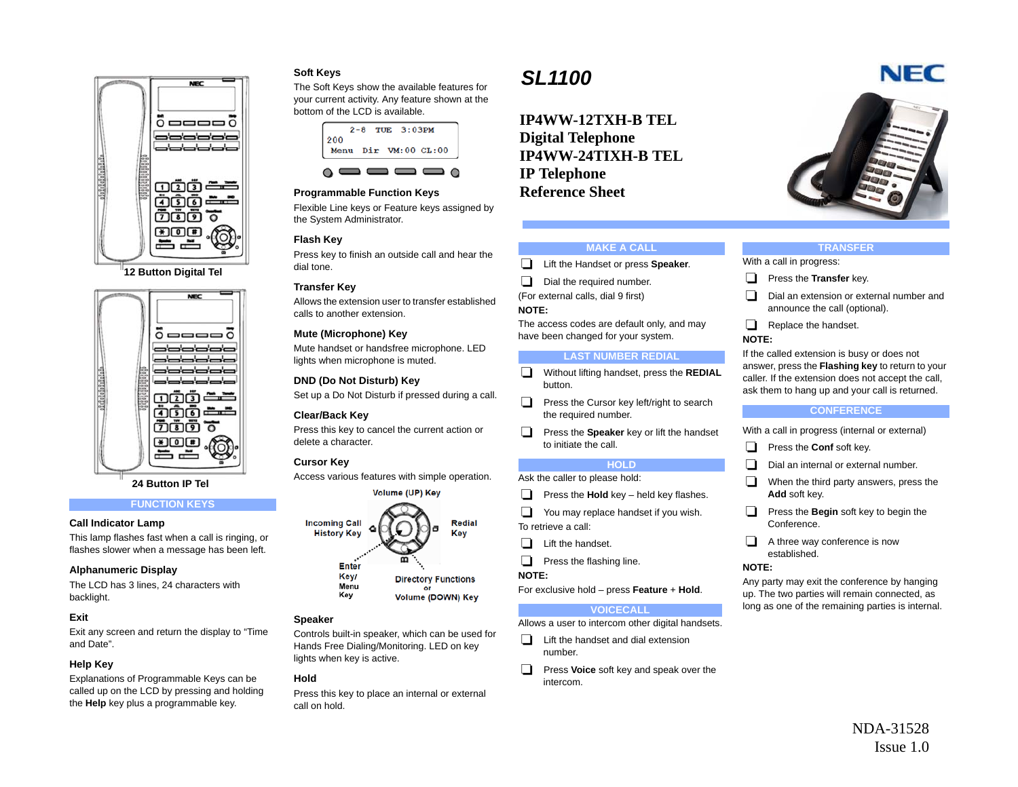# **MPC**  $\overline{\circ}$  and  $\overline{\circ}$ obcodo صاصاصاصاص islaislaiai നമ്മ് ക്ക گھڻ آڻ 口 〇

**12 Button Digital Tel**



**24 Button IP Tel**

#### **FUNCTION KEYS**

#### **Call Indicator Lamp**

This lamp flashes fast when a call is ringing, or flashes slower when a message has been left.

# **Alphanumeric Display**

The LCD has 3 lines, 24 characters with backlight.

#### **Exit**

Exit any screen and return the display to "Time and Date".

### **Help Key**

Explanations of Programmable Keys can be called up on the LCD by pressing and holding the **Help** key plus a programmable key.

# **Soft Keys**

The Soft Keys show the available features for your current activity. Any feature shown at the bottom of the LCD is available.



#### **Programmable Function Keys**

Flexible Line keys or Feature keys assigned by the System Administrator.

## **Flash Key**

Press key to finish an outside call and hear the dial tone.

#### **Transfer Key**

Allows the extension user to transfer established calls to another extension.

#### **Mute (Microphone) Key**

Mute handset or handsfree microphone. LED lights when microphone is muted.

#### **DND (Do Not Disturb) Key**

Set up a Do Not Disturb if pressed during a call.

#### **Clear/Back Key**

Press this key to cancel the current action or delete a character.

#### **Cursor Key**

Access various features with simple operation.



#### **Speaker**

Controls built-in speaker, which can be used for Hands Free Dialing/Monitoring. LED on key lights when key is active.

#### **Hold**

Press this key to place an internal or external call on hold.

# *SL1100*

**IP4WW-12TXH-B TELDigital Telephone IP4WW-24TIXH-B TELIP Telephone Reference Sheet**

**Lift the Handset or press Speaker.** Dial the required number. (For external calls, dial 9 first)

**MAKE A CALL**

The access codes are default only, and may have been changed for your system.

Without lifting handset, press the **REDIAL**

**LAST NUMBER REDIAL**

 $\Box$  Press the Cursor key left/right to search

**Press the Speaker** key or lift the handset

**HOLD**

the required number.

to initiate the call.

Ask the caller to please hold:



#### **TRANSFER**

With a call in progress:

- **Press the Transfer** key.
- Dial an extension or external number and announce the call (optional).
- $\Box$  Replace the handset.

# **NOTE:**

If the called extension is busy or does not answer, press the **Flashing key** to return to your caller. If the extension does not accept the call, ask them to hang up and your call is returned.

#### **CONFERENCE**

With a call in progress (internal or external)

- **Press the Conf soft key.**
- Dial an internal or external number.
- $\Box$  When the third party answers, press the **Add** soft key.
- **Press the Begin soft key to begin the** Conference.
- $\Box$  A three way conference is now established.

#### **NOTE:**

Any party may exit the conference by hanging up. The two parties will remain connected, as long as one of the remaining parties is internal.

> NDA-31528Issue 1.0

**Press the Hold** key – held key flashes.  $\Box$  You may replace handset if you wish. To retrieve a call: $\Box$  Lift the handset.

 $\Box$  Press the flashing line.

**NOTE:**

button.

**NOTE:**For exclusive hold – press **Feature** <sup>+</sup>**Hold**.

# **VOICECALL**

Allows a user to intercom other digital handsets.

- $\Box$  Lift the handset and dial extension number.
- **Press Voice** soft key and speak over the intercom.